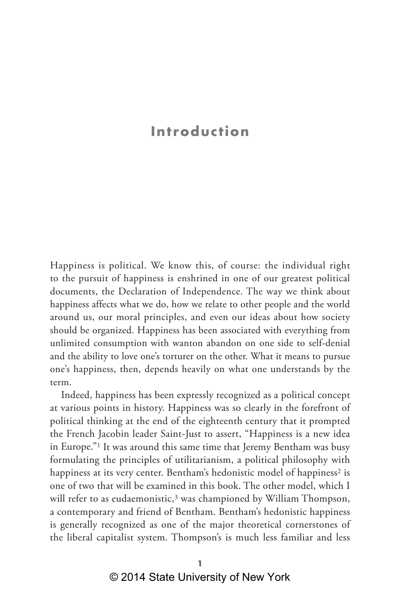# **Introduction**

Happiness is political. We know this, of course: the individual right to the pursuit of happiness is enshrined in one of our greatest political documents, the Declaration of Independence. The way we think about happiness affects what we do, how we relate to other people and the world around us, our moral principles, and even our ideas about how society should be organized. Happiness has been associated with everything from unlimited consumption with wanton abandon on one side to self-denial and the ability to love one's torturer on the other. What it means to pursue one's happiness, then, depends heavily on what one understands by the term.

Indeed, happiness has been expressly recognized as a political concept at various points in history. Happiness was so clearly in the forefront of political thinking at the end of the eighteenth century that it prompted the French Jacobin leader Saint-Just to assert, "Happiness is a new idea in Europe."1 It was around this same time that Jeremy Bentham was busy formulating the principles of utilitarianism, a political philosophy with happiness at its very center. Bentham's hedonistic model of happiness<sup>2</sup> is one of two that will be examined in this book. The other model, which I will refer to as eudaemonistic, $3$  was championed by William Thompson, a contemporary and friend of Bentham. Bentham's hedonistic happiness is generally recognized as one of the major theoretical cornerstones of the liberal capitalist system. Thompson's is much less familiar and less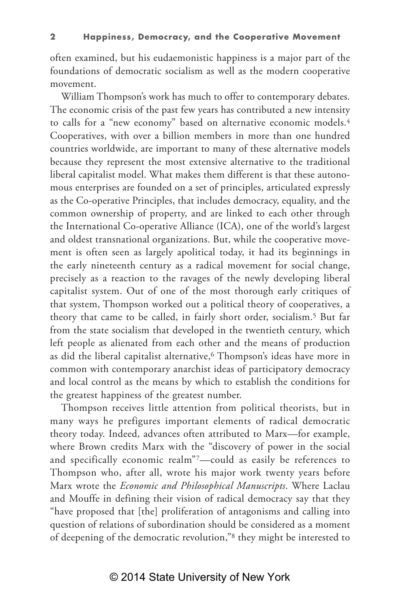often examined, but his eudaemonistic happiness is a major part of the foundations of democratic socialism as well as the modern cooperative movement.

William Thompson's work has much to offer to contemporary debates. The economic crisis of the past few years has contributed a new intensity to calls for a "new economy" based on alternative economic models.4 Cooperatives, with over a billion members in more than one hundred countries worldwide, are important to many of these alternative models because they represent the most extensive alternative to the traditional liberal capitalist model. What makes them different is that these autonomous enterprises are founded on a set of principles, articulated expressly as the Co-operative Principles, that includes democracy, equality, and the common ownership of property, and are linked to each other through the International Co-operative Alliance (ICA), one of the world's largest and oldest transnational organizations. But, while the cooperative movement is often seen as largely apolitical today, it had its beginnings in the early nineteenth century as a radical movement for social change, precisely as a reaction to the ravages of the newly developing liberal capitalist system. Out of one of the most thorough early critiques of that system, Thompson worked out a political theory of cooperatives, a theory that came to be called, in fairly short order, socialism.5 But far from the state socialism that developed in the twentieth century, which left people as alienated from each other and the means of production as did the liberal capitalist alternative,<sup>6</sup> Thompson's ideas have more in common with contemporary anarchist ideas of participatory democracy and local control as the means by which to establish the conditions for the greatest happiness of the greatest number.

Thompson receives little attention from political theorists, but in many ways he prefigures important elements of radical democratic theory today. Indeed, advances often attributed to Marx—for example, where Brown credits Marx with the "discovery of power in the social and specifically economic realm"7—could as easily be references to Thompson who, after all, wrote his major work twenty years before Marx wrote the *Economic and Philosophical Manuscripts*. Where Laclau and Mouffe in defining their vision of radical democracy say that they "have proposed that [the] proliferation of antagonisms and calling into question of relations of subordination should be considered as a moment of deepening of the democratic revolution,"8 they might be interested to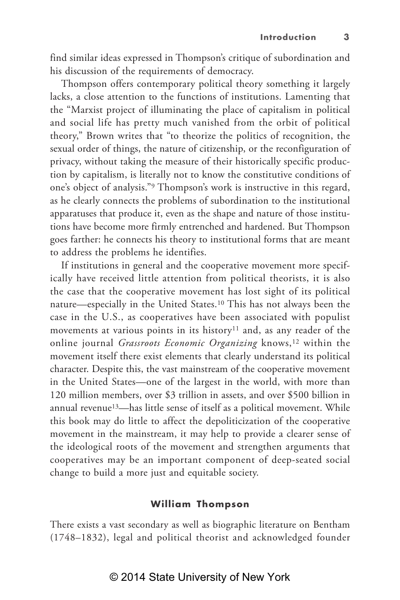find similar ideas expressed in Thompson's critique of subordination and his discussion of the requirements of democracy.

Thompson offers contemporary political theory something it largely lacks, a close attention to the functions of institutions. Lamenting that the "Marxist project of illuminating the place of capitalism in political and social life has pretty much vanished from the orbit of political theory," Brown writes that "to theorize the politics of recognition, the sexual order of things, the nature of citizenship, or the reconfiguration of privacy, without taking the measure of their historically specific production by capitalism, is literally not to know the constitutive conditions of one's object of analysis."9 Thompson's work is instructive in this regard, as he clearly connects the problems of subordination to the institutional apparatuses that produce it, even as the shape and nature of those institutions have become more firmly entrenched and hardened. But Thompson goes farther: he connects his theory to institutional forms that are meant to address the problems he identifies.

If institutions in general and the cooperative movement more specifically have received little attention from political theorists, it is also the case that the cooperative movement has lost sight of its political nature—especially in the United States.10 This has not always been the case in the U.S., as cooperatives have been associated with populist movements at various points in its history<sup>11</sup> and, as any reader of the online journal *Grassroots Economic Organizing* knows,<sup>12</sup> within the movement itself there exist elements that clearly understand its political character. Despite this, the vast mainstream of the cooperative movement in the United States—one of the largest in the world, with more than 120 million members, over \$3 trillion in assets, and over \$500 billion in annual revenue13—has little sense of itself as a political movement. While this book may do little to affect the depoliticization of the cooperative movement in the mainstream, it may help to provide a clearer sense of the ideological roots of the movement and strengthen arguments that cooperatives may be an important component of deep-seated social change to build a more just and equitable society.

#### **William Thompson**

There exists a vast secondary as well as biographic literature on Bentham (1748–1832), legal and political theorist and acknowledged founder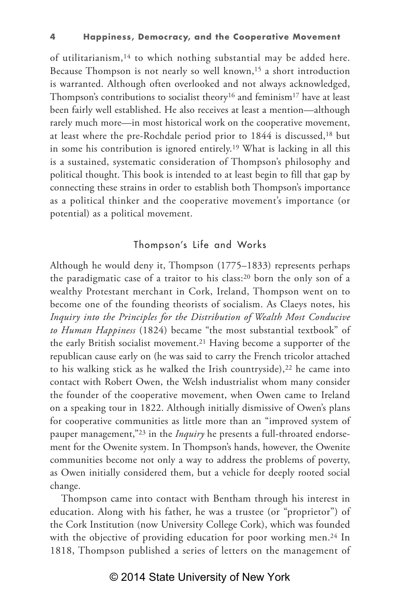of utilitarianism,14 to which nothing substantial may be added here. Because Thompson is not nearly so well known,15 a short introduction is warranted. Although often overlooked and not always acknowledged, Thompson's contributions to socialist theory<sup>16</sup> and feminism<sup>17</sup> have at least been fairly well established. He also receives at least a mention—although rarely much more—in most historical work on the cooperative movement, at least where the pre-Rochdale period prior to 1844 is discussed,<sup>18</sup> but in some his contribution is ignored entirely.19 What is lacking in all this is a sustained, systematic consideration of Thompson's philosophy and political thought. This book is intended to at least begin to fill that gap by connecting these strains in order to establish both Thompson's importance as a political thinker and the cooperative movement's importance (or potential) as a political movement.

#### Thompson's Life and Works

Although he would deny it, Thompson (1775–1833) represents perhaps the paradigmatic case of a traitor to his class:20 born the only son of a wealthy Protestant merchant in Cork, Ireland, Thompson went on to become one of the founding theorists of socialism. As Claeys notes, his *Inquiry into the Principles for the Distribution of Wealth Most Conducive to Human Happiness* (1824) became "the most substantial textbook" of the early British socialist movement.21 Having become a supporter of the republican cause early on (he was said to carry the French tricolor attached to his walking stick as he walked the Irish countryside), $22$  he came into contact with Robert Owen, the Welsh industrialist whom many consider the founder of the cooperative movement, when Owen came to Ireland on a speaking tour in 1822. Although initially dismissive of Owen's plans for cooperative communities as little more than an "improved system of pauper management,"23 in the *Inquiry* he presents a full-throated endorsement for the Owenite system. In Thompson's hands, however, the Owenite communities become not only a way to address the problems of poverty, as Owen initially considered them, but a vehicle for deeply rooted social change.

Thompson came into contact with Bentham through his interest in education. Along with his father, he was a trustee (or "proprietor") of the Cork Institution (now University College Cork), which was founded with the objective of providing education for poor working men.<sup>24</sup> In 1818, Thompson published a series of letters on the management of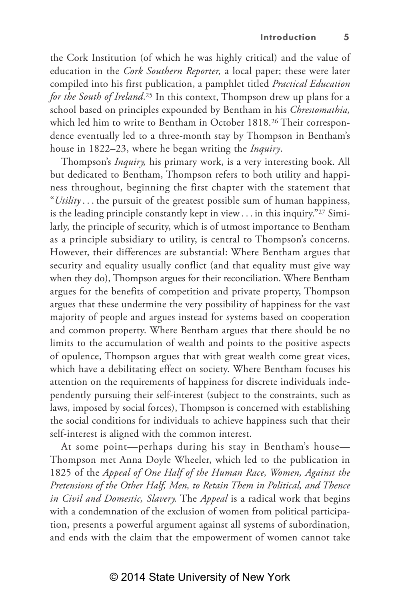the Cork Institution (of which he was highly critical) and the value of education in the *Cork Southern Reporter,* a local paper; these were later compiled into his first publication, a pamphlet titled *Practical Education for the South of Ireland*.<sup>25</sup> In this context, Thompson drew up plans for a school based on principles expounded by Bentham in his *Chrestomathia,* which led him to write to Bentham in October 1818.<sup>26</sup> Their correspondence eventually led to a three-month stay by Thompson in Bentham's house in 1822–23, where he began writing the *Inquiry*.

Thompson's *Inquiry,* his primary work, is a very interesting book. All but dedicated to Bentham, Thompson refers to both utility and happiness throughout, beginning the first chapter with the statement that "*Utility* . . . the pursuit of the greatest possible sum of human happiness, is the leading principle constantly kept in view  $\dots$  in this inquiry."<sup>27</sup> Similarly, the principle of security, which is of utmost importance to Bentham as a principle subsidiary to utility, is central to Thompson's concerns. However, their differences are substantial: Where Bentham argues that security and equality usually conflict (and that equality must give way when they do), Thompson argues for their reconciliation. Where Bentham argues for the benefits of competition and private property, Thompson argues that these undermine the very possibility of happiness for the vast majority of people and argues instead for systems based on cooperation and common property. Where Bentham argues that there should be no limits to the accumulation of wealth and points to the positive aspects of opulence, Thompson argues that with great wealth come great vices, which have a debilitating effect on society. Where Bentham focuses his attention on the requirements of happiness for discrete individuals independently pursuing their self-interest (subject to the constraints, such as laws, imposed by social forces), Thompson is concerned with establishing the social conditions for individuals to achieve happiness such that their self-interest is aligned with the common interest.

At some point—perhaps during his stay in Bentham's house— Thompson met Anna Doyle Wheeler, which led to the publication in 1825 of the *Appeal of One Half of the Human Race, Women, Against the Pretensions of the Other Half, Men, to Retain Them in Political, and Thence in Civil and Domestic, Slavery.* The *Appeal* is a radical work that begins with a condemnation of the exclusion of women from political participation, presents a powerful argument against all systems of subordination, and ends with the claim that the empowerment of women cannot take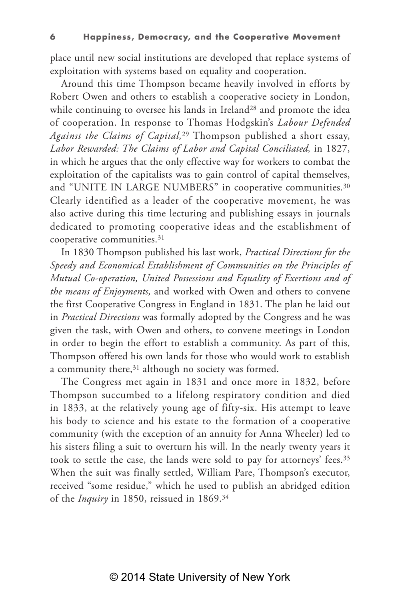place until new social institutions are developed that replace systems of exploitation with systems based on equality and cooperation.

Around this time Thompson became heavily involved in efforts by Robert Owen and others to establish a cooperative society in London, while continuing to oversee his lands in Ireland<sup>28</sup> and promote the idea of cooperation. In response to Thomas Hodgskin's *Labour Defended Against the Claims of Capital,*29 Thompson published a short essay, *Labor Rewarded: The Claims of Labor and Capital Conciliated,* in 1827, in which he argues that the only effective way for workers to combat the exploitation of the capitalists was to gain control of capital themselves, and "UNITE IN LARGE NUMBERS" in cooperative communities.<sup>30</sup> Clearly identified as a leader of the cooperative movement, he was also active during this time lecturing and publishing essays in journals dedicated to promoting cooperative ideas and the establishment of cooperative communities.31

In 1830 Thompson published his last work, *Practical Directions for the Speedy and Economical Establishment of Communities on the Principles of Mutual Co-operation, United Possessions and Equality of Exertions and of the means of Enjoyments,* and worked with Owen and others to convene the first Cooperative Congress in England in 1831. The plan he laid out in *Practical Directions* was formally adopted by the Congress and he was given the task, with Owen and others, to convene meetings in London in order to begin the effort to establish a community. As part of this, Thompson offered his own lands for those who would work to establish a community there,<sup>31</sup> although no society was formed.

The Congress met again in 1831 and once more in 1832, before Thompson succumbed to a lifelong respiratory condition and died in 1833, at the relatively young age of fifty-six. His attempt to leave his body to science and his estate to the formation of a cooperative community (with the exception of an annuity for Anna Wheeler) led to his sisters filing a suit to overturn his will. In the nearly twenty years it took to settle the case, the lands were sold to pay for attorneys' fees.33 When the suit was finally settled, William Pare, Thompson's executor, received "some residue," which he used to publish an abridged edition of the *Inquiry* in 1850, reissued in 1869.34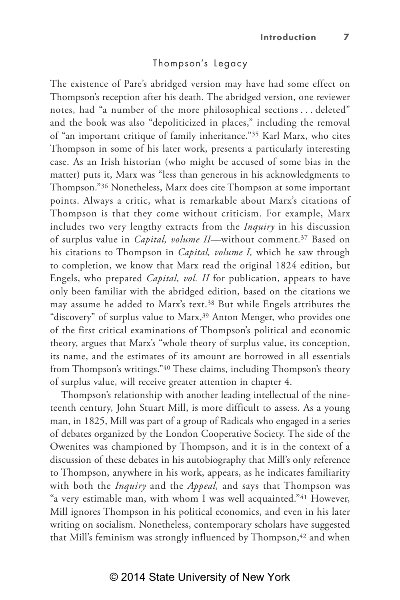#### Thompson's Legacy

The existence of Pare's abridged version may have had some effect on Thompson's reception after his death. The abridged version, one reviewer notes, had "a number of the more philosophical sections . . . deleted" and the book was also "depoliticized in places," including the removal of "an important critique of family inheritance."35 Karl Marx, who cites Thompson in some of his later work, presents a particularly interesting case. As an Irish historian (who might be accused of some bias in the matter) puts it, Marx was "less than generous in his acknowledgments to Thompson."36 Nonetheless, Marx does cite Thompson at some important points. Always a critic, what is remarkable about Marx's citations of Thompson is that they come without criticism. For example, Marx includes two very lengthy extracts from the *Inquiry* in his discussion of surplus value in *Capital, volume II*—without comment.37 Based on his citations to Thompson in *Capital, volume I,* which he saw through to completion, we know that Marx read the original 1824 edition, but Engels, who prepared *Capital, vol. II* for publication, appears to have only been familiar with the abridged edition, based on the citations we may assume he added to Marx's text.38 But while Engels attributes the "discovery" of surplus value to Marx,<sup>39</sup> Anton Menger, who provides one of the first critical examinations of Thompson's political and economic theory, argues that Marx's "whole theory of surplus value, its conception, its name, and the estimates of its amount are borrowed in all essentials from Thompson's writings."40 These claims, including Thompson's theory of surplus value, will receive greater attention in chapter 4.

Thompson's relationship with another leading intellectual of the nineteenth century, John Stuart Mill, is more difficult to assess. As a young man, in 1825, Mill was part of a group of Radicals who engaged in a series of debates organized by the London Cooperative Society. The side of the Owenites was championed by Thompson, and it is in the context of a discussion of these debates in his autobiography that Mill's only reference to Thompson, anywhere in his work, appears, as he indicates familiarity with both the *Inquiry* and the *Appeal,* and says that Thompson was "a very estimable man, with whom I was well acquainted."41 However, Mill ignores Thompson in his political economics, and even in his later writing on socialism. Nonetheless, contemporary scholars have suggested that Mill's feminism was strongly influenced by Thompson,<sup>42</sup> and when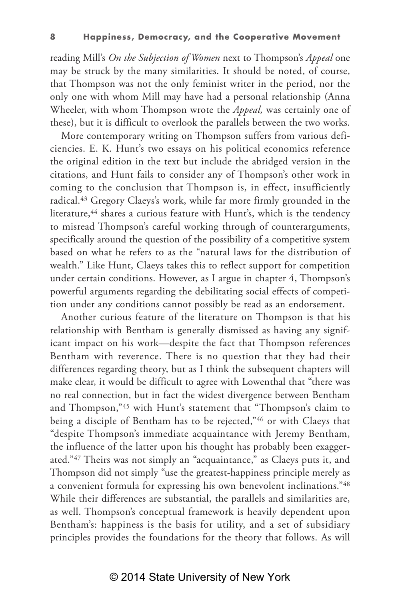reading Mill's *On the Subjection of Women* next to Thompson's *Appeal* one may be struck by the many similarities. It should be noted, of course, that Thompson was not the only feminist writer in the period, nor the only one with whom Mill may have had a personal relationship (Anna Wheeler, with whom Thompson wrote the *Appeal,* was certainly one of these), but it is difficult to overlook the parallels between the two works.

More contemporary writing on Thompson suffers from various deficiencies. E. K. Hunt's two essays on his political economics reference the original edition in the text but include the abridged version in the citations, and Hunt fails to consider any of Thompson's other work in coming to the conclusion that Thompson is, in effect, insufficiently radical.43 Gregory Claeys's work, while far more firmly grounded in the literature,<sup>44</sup> shares a curious feature with Hunt's, which is the tendency to misread Thompson's careful working through of counterarguments, specifically around the question of the possibility of a competitive system based on what he refers to as the "natural laws for the distribution of wealth." Like Hunt, Claeys takes this to reflect support for competition under certain conditions. However, as I argue in chapter 4, Thompson's powerful arguments regarding the debilitating social effects of competition under any conditions cannot possibly be read as an endorsement.

Another curious feature of the literature on Thompson is that his relationship with Bentham is generally dismissed as having any significant impact on his work—despite the fact that Thompson references Bentham with reverence. There is no question that they had their differences regarding theory, but as I think the subsequent chapters will make clear, it would be difficult to agree with Lowenthal that "there was no real connection, but in fact the widest divergence between Bentham and Thompson,"45 with Hunt's statement that "Thompson's claim to being a disciple of Bentham has to be rejected,"46 or with Claeys that "despite Thompson's immediate acquaintance with Jeremy Bentham, the influence of the latter upon his thought has probably been exaggerated."47 Theirs was not simply an "acquaintance," as Claeys puts it, and Thompson did not simply "use the greatest-happiness principle merely as a convenient formula for expressing his own benevolent inclinations."48 While their differences are substantial, the parallels and similarities are, as well. Thompson's conceptual framework is heavily dependent upon Bentham's: happiness is the basis for utility, and a set of subsidiary principles provides the foundations for the theory that follows. As will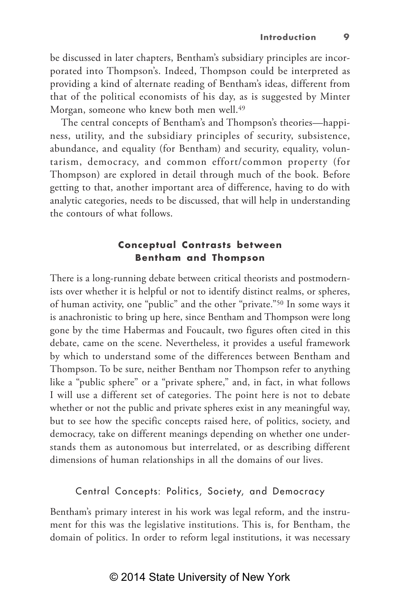be discussed in later chapters, Bentham's subsidiary principles are incorporated into Thompson's. Indeed, Thompson could be interpreted as providing a kind of alternate reading of Bentham's ideas, different from that of the political economists of his day, as is suggested by Minter Morgan, someone who knew both men well.49

The central concepts of Bentham's and Thompson's theories—happiness, utility, and the subsidiary principles of security, subsistence, abundance, and equality (for Bentham) and security, equality, voluntarism, democracy, and common effort/common property (for Thompson) are explored in detail through much of the book. Before getting to that, another important area of difference, having to do with analytic categories, needs to be discussed, that will help in understanding the contours of what follows.

#### **Conceptual Contrasts between Bentham and Thompson**

There is a long-running debate between critical theorists and postmodernists over whether it is helpful or not to identify distinct realms, or spheres, of human activity, one "public" and the other "private."50 In some ways it is anachronistic to bring up here, since Bentham and Thompson were long gone by the time Habermas and Foucault, two figures often cited in this debate, came on the scene. Nevertheless, it provides a useful framework by which to understand some of the differences between Bentham and Thompson. To be sure, neither Bentham nor Thompson refer to anything like a "public sphere" or a "private sphere," and, in fact, in what follows I will use a different set of categories. The point here is not to debate whether or not the public and private spheres exist in any meaningful way, but to see how the specific concepts raised here, of politics, society, and democracy, take on different meanings depending on whether one understands them as autonomous but interrelated, or as describing different dimensions of human relationships in all the domains of our lives.

## Central Concepts: Politics, Society, and Democracy

Bentham's primary interest in his work was legal reform, and the instrument for this was the legislative institutions. This is, for Bentham, the domain of politics. In order to reform legal institutions, it was necessary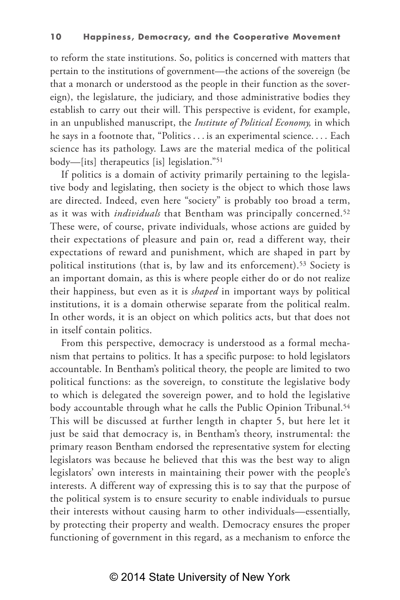to reform the state institutions. So, politics is concerned with matters that pertain to the institutions of government—the actions of the sovereign (be that a monarch or understood as the people in their function as the sovereign), the legislature, the judiciary, and those administrative bodies they establish to carry out their will. This perspective is evident, for example, in an unpublished manuscript, the *Institute of Political Economy,* in which he says in a footnote that, "Politics . . . is an experimental science. . . . Each science has its pathology. Laws are the material medica of the political body—[its] therapeutics [is] legislation."51

If politics is a domain of activity primarily pertaining to the legislative body and legislating, then society is the object to which those laws are directed. Indeed, even here "society" is probably too broad a term, as it was with *individuals* that Bentham was principally concerned.52 These were, of course, private individuals, whose actions are guided by their expectations of pleasure and pain or, read a different way, their expectations of reward and punishment, which are shaped in part by political institutions (that is, by law and its enforcement).53 Society is an important domain, as this is where people either do or do not realize their happiness, but even as it is *shaped* in important ways by political institutions, it is a domain otherwise separate from the political realm. In other words, it is an object on which politics acts, but that does not in itself contain politics.

From this perspective, democracy is understood as a formal mechanism that pertains to politics. It has a specific purpose: to hold legislators accountable. In Bentham's political theory, the people are limited to two political functions: as the sovereign, to constitute the legislative body to which is delegated the sovereign power, and to hold the legislative body accountable through what he calls the Public Opinion Tribunal.<sup>54</sup> This will be discussed at further length in chapter 5, but here let it just be said that democracy is, in Bentham's theory, instrumental: the primary reason Bentham endorsed the representative system for electing legislators was because he believed that this was the best way to align legislators' own interests in maintaining their power with the people's interests. A different way of expressing this is to say that the purpose of the political system is to ensure security to enable individuals to pursue their interests without causing harm to other individuals—essentially, by protecting their property and wealth. Democracy ensures the proper functioning of government in this regard, as a mechanism to enforce the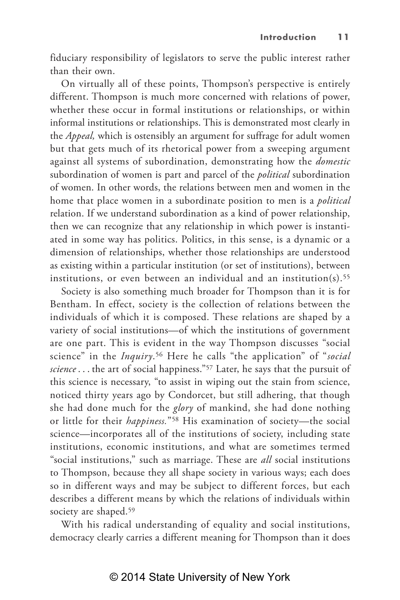fiduciary responsibility of legislators to serve the public interest rather than their own.

On virtually all of these points, Thompson's perspective is entirely different. Thompson is much more concerned with relations of power, whether these occur in formal institutions or relationships, or within informal institutions or relationships. This is demonstrated most clearly in the *Appeal,* which is ostensibly an argument for suffrage for adult women but that gets much of its rhetorical power from a sweeping argument against all systems of subordination, demonstrating how the *domestic* subordination of women is part and parcel of the *political* subordination of women. In other words, the relations between men and women in the home that place women in a subordinate position to men is a *political* relation. If we understand subordination as a kind of power relationship, then we can recognize that any relationship in which power is instantiated in some way has politics. Politics, in this sense, is a dynamic or a dimension of relationships, whether those relationships are understood as existing within a particular institution (or set of institutions), between institutions, or even between an individual and an institution(s).<sup>55</sup>

Society is also something much broader for Thompson than it is for Bentham. In effect, society is the collection of relations between the individuals of which it is composed. These relations are shaped by a variety of social institutions—of which the institutions of government are one part. This is evident in the way Thompson discusses "social science" in the *Inquiry*.56 Here he calls "the application" of "*social science* . . . the art of social happiness."57 Later, he says that the pursuit of this science is necessary, "to assist in wiping out the stain from science, noticed thirty years ago by Condorcet, but still adhering, that though she had done much for the *glory* of mankind, she had done nothing or little for their *happiness.*"58 His examination of society—the social science—incorporates all of the institutions of society, including state institutions, economic institutions, and what are sometimes termed "social institutions," such as marriage. These are *all* social institutions to Thompson, because they all shape society in various ways; each does so in different ways and may be subject to different forces, but each describes a different means by which the relations of individuals within society are shaped.<sup>59</sup>

With his radical understanding of equality and social institutions, democracy clearly carries a different meaning for Thompson than it does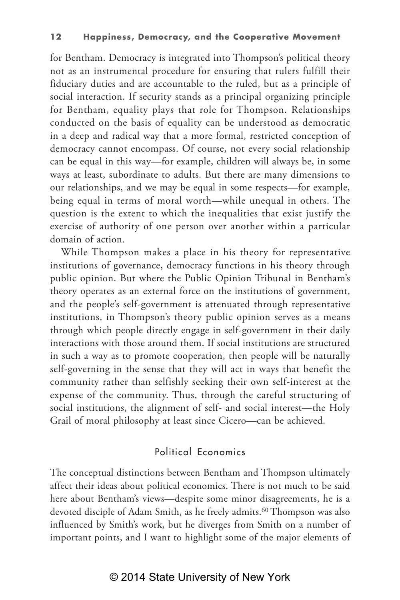for Bentham. Democracy is integrated into Thompson's political theory not as an instrumental procedure for ensuring that rulers fulfill their fiduciary duties and are accountable to the ruled, but as a principle of social interaction. If security stands as a principal organizing principle for Bentham, equality plays that role for Thompson. Relationships conducted on the basis of equality can be understood as democratic in a deep and radical way that a more formal, restricted conception of democracy cannot encompass. Of course, not every social relationship can be equal in this way—for example, children will always be, in some ways at least, subordinate to adults. But there are many dimensions to our relationships, and we may be equal in some respects—for example, being equal in terms of moral worth—while unequal in others. The question is the extent to which the inequalities that exist justify the exercise of authority of one person over another within a particular domain of action.

While Thompson makes a place in his theory for representative institutions of governance, democracy functions in his theory through public opinion. But where the Public Opinion Tribunal in Bentham's theory operates as an external force on the institutions of government, and the people's self-government is attenuated through representative institutions, in Thompson's theory public opinion serves as a means through which people directly engage in self-government in their daily interactions with those around them. If social institutions are structured in such a way as to promote cooperation, then people will be naturally self-governing in the sense that they will act in ways that benefit the community rather than selfishly seeking their own self-interest at the expense of the community. Thus, through the careful structuring of social institutions, the alignment of self- and social interest—the Holy Grail of moral philosophy at least since Cicero—can be achieved.

## Political Economics

The conceptual distinctions between Bentham and Thompson ultimately affect their ideas about political economics. There is not much to be said here about Bentham's views—despite some minor disagreements, he is a devoted disciple of Adam Smith, as he freely admits.<sup>60</sup> Thompson was also influenced by Smith's work, but he diverges from Smith on a number of important points, and I want to highlight some of the major elements of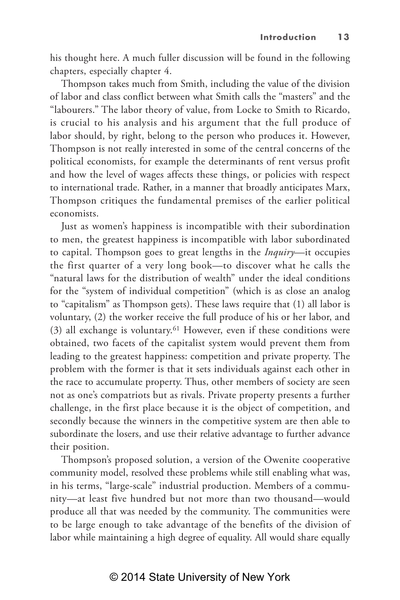his thought here. A much fuller discussion will be found in the following chapters, especially chapter 4.

Thompson takes much from Smith, including the value of the division of labor and class conflict between what Smith calls the "masters" and the "labourers." The labor theory of value, from Locke to Smith to Ricardo, is crucial to his analysis and his argument that the full produce of labor should, by right, belong to the person who produces it. However, Thompson is not really interested in some of the central concerns of the political economists, for example the determinants of rent versus profit and how the level of wages affects these things, or policies with respect to international trade. Rather, in a manner that broadly anticipates Marx, Thompson critiques the fundamental premises of the earlier political economists.

Just as women's happiness is incompatible with their subordination to men, the greatest happiness is incompatible with labor subordinated to capital. Thompson goes to great lengths in the *Inquiry*—it occupies the first quarter of a very long book—to discover what he calls the "natural laws for the distribution of wealth" under the ideal conditions for the "system of individual competition" (which is as close an analog to "capitalism" as Thompson gets). These laws require that (1) all labor is voluntary, (2) the worker receive the full produce of his or her labor, and (3) all exchange is voluntary.61 However, even if these conditions were obtained, two facets of the capitalist system would prevent them from leading to the greatest happiness: competition and private property. The problem with the former is that it sets individuals against each other in the race to accumulate property. Thus, other members of society are seen not as one's compatriots but as rivals. Private property presents a further challenge, in the first place because it is the object of competition, and secondly because the winners in the competitive system are then able to subordinate the losers, and use their relative advantage to further advance their position.

Thompson's proposed solution, a version of the Owenite cooperative community model, resolved these problems while still enabling what was, in his terms, "large-scale" industrial production. Members of a community—at least five hundred but not more than two thousand—would produce all that was needed by the community. The communities were to be large enough to take advantage of the benefits of the division of labor while maintaining a high degree of equality. All would share equally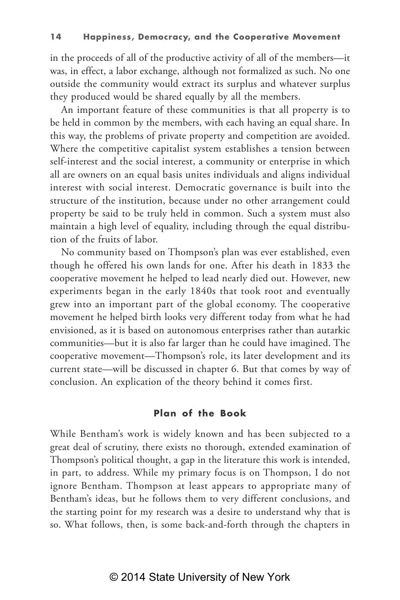in the proceeds of all of the productive activity of all of the members—it was, in effect, a labor exchange, although not formalized as such. No one outside the community would extract its surplus and whatever surplus they produced would be shared equally by all the members.

An important feature of these communities is that all property is to be held in common by the members, with each having an equal share. In this way, the problems of private property and competition are avoided. Where the competitive capitalist system establishes a tension between self-interest and the social interest, a community or enterprise in which all are owners on an equal basis unites individuals and aligns individual interest with social interest. Democratic governance is built into the structure of the institution, because under no other arrangement could property be said to be truly held in common. Such a system must also maintain a high level of equality, including through the equal distribution of the fruits of labor.

No community based on Thompson's plan was ever established, even though he offered his own lands for one. After his death in 1833 the cooperative movement he helped to lead nearly died out. However, new experiments began in the early 1840s that took root and eventually grew into an important part of the global economy. The cooperative movement he helped birth looks very different today from what he had envisioned, as it is based on autonomous enterprises rather than autarkic communities—but it is also far larger than he could have imagined. The cooperative movement—Thompson's role, its later development and its current state—will be discussed in chapter 6. But that comes by way of conclusion. An explication of the theory behind it comes first.

#### **Plan of the Book**

While Bentham's work is widely known and has been subjected to a great deal of scrutiny, there exists no thorough, extended examination of Thompson's political thought, a gap in the literature this work is intended, in part, to address. While my primary focus is on Thompson, I do not ignore Bentham. Thompson at least appears to appropriate many of Bentham's ideas, but he follows them to very different conclusions, and the starting point for my research was a desire to understand why that is so. What follows, then, is some back-and-forth through the chapters in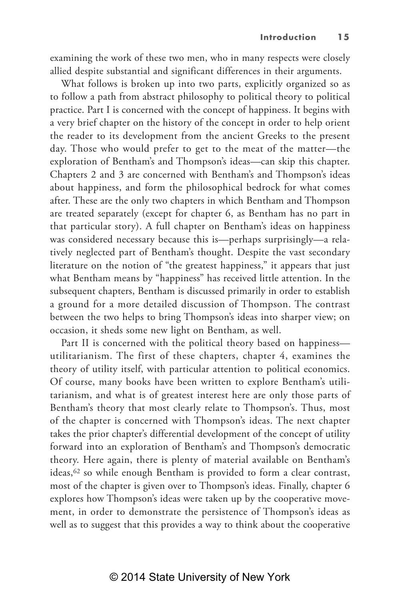examining the work of these two men, who in many respects were closely allied despite substantial and significant differences in their arguments.

What follows is broken up into two parts, explicitly organized so as to follow a path from abstract philosophy to political theory to political practice. Part I is concerned with the concept of happiness. It begins with a very brief chapter on the history of the concept in order to help orient the reader to its development from the ancient Greeks to the present day. Those who would prefer to get to the meat of the matter—the exploration of Bentham's and Thompson's ideas—can skip this chapter. Chapters 2 and 3 are concerned with Bentham's and Thompson's ideas about happiness, and form the philosophical bedrock for what comes after. These are the only two chapters in which Bentham and Thompson are treated separately (except for chapter 6, as Bentham has no part in that particular story). A full chapter on Bentham's ideas on happiness was considered necessary because this is—perhaps surprisingly—a relatively neglected part of Bentham's thought. Despite the vast secondary literature on the notion of "the greatest happiness," it appears that just what Bentham means by "happiness" has received little attention. In the subsequent chapters, Bentham is discussed primarily in order to establish a ground for a more detailed discussion of Thompson. The contrast between the two helps to bring Thompson's ideas into sharper view; on occasion, it sheds some new light on Bentham, as well.

Part II is concerned with the political theory based on happiness utilitarianism. The first of these chapters, chapter 4, examines the theory of utility itself, with particular attention to political economics. Of course, many books have been written to explore Bentham's utilitarianism, and what is of greatest interest here are only those parts of Bentham's theory that most clearly relate to Thompson's. Thus, most of the chapter is concerned with Thompson's ideas. The next chapter takes the prior chapter's differential development of the concept of utility forward into an exploration of Bentham's and Thompson's democratic theory. Here again, there is plenty of material available on Bentham's ideas,<sup>62</sup> so while enough Bentham is provided to form a clear contrast, most of the chapter is given over to Thompson's ideas. Finally, chapter 6 explores how Thompson's ideas were taken up by the cooperative movement, in order to demonstrate the persistence of Thompson's ideas as well as to suggest that this provides a way to think about the cooperative